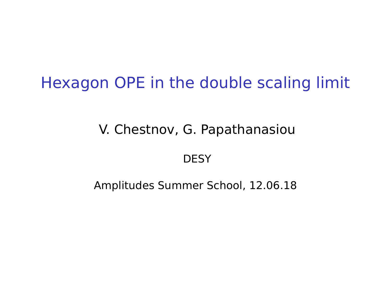### Hexagon OPE in the double scaling limit

#### V. Chestnov, G. Papathanasiou

#### DESY

Amplitudes Summer School, 12.06.18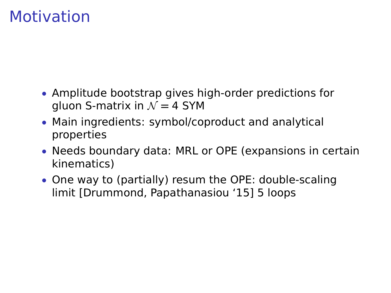## Motivation

- Amplitude bootstrap gives high-order predictions for gluon S-matrix in  $\mathcal{N} = 4$  SYM
- Main ingredients: symbol/coproduct and analytical properties
- Needs boundary data: MRL or OPE (expansions in certain kinematics)
- One way to (partially) resum the OPE: double-scaling limit [Drummond, Papathanasiou '15] 5 loops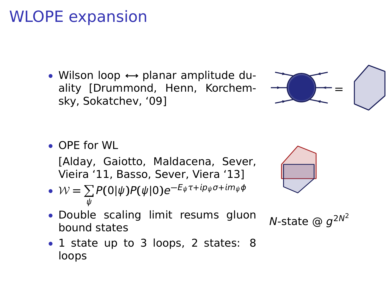# WLOPE expansion

• Wilson loop **↔** planar amplitude duality [Drummond, Henn, Korchemsky, Sokatchev, '09]



• OPE for WL

[Alday, Gaiotto, Maldacena, Sever, Vieira '11, Basso, Sever, Viera '13]

• 
$$
W = \sum_{\psi} P(0|\psi)P(\psi|0)e^{-E_{\psi}\tau + ip_{\psi}\sigma + im_{\psi}\phi}
$$



• Double scaling limit resums gluon  $N$ -state  $\circledcirc g$ <br>bound states

N-state  $\omega q^{2N^2}$ 

• 1 state up to 3 loops, 2 states: 8 loops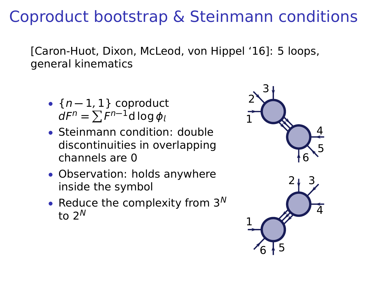# Coproduct bootstrap & Steinmann conditions

[Caron-Huot, Dixon, McLeod, von Hippel '16]: 5 loops, general kinematics

- {n **−** 1, 1} coproduct  $dF^n = \sum F^{n-1}d \log \phi$
- Steinmann condition: double discontinuities in overlapping channels are 0
- Observation: holds anywhere inside the symbol
- Reduce the complexity from  $3^N$ to 2 $N$